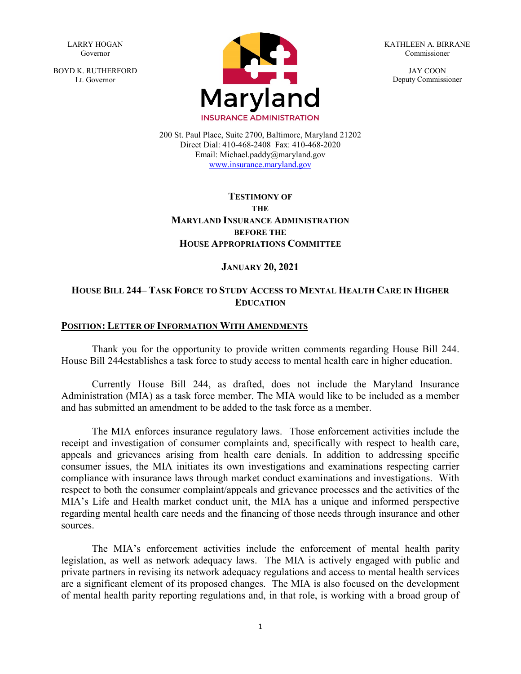LARRY HOGAN Governor

BOYD K. RUTHERFORD Lt. Governor



KATHLEEN A. BIRRANE Commissioner

> JAY COON Deputy Commissioner

200 St. Paul Place, Suite 2700, Baltimore, Maryland 21202 Direct Dial: 410-468-2408 Fax: 410-468-2020 Email: Michael.paddy@maryland.gov [www.insurance.maryland.gov](http://www.insurance.maryland.gov/)

## **TESTIMONY OF THE MARYLAND INSURANCE ADMINISTRATION BEFORE THE HOUSE APPROPRIATIONS COMMITTEE**

### **JANUARY 20, 2021**

## **HOUSE BILL 244– TASK FORCE TO STUDY ACCESS TO MENTAL HEALTH CARE IN HIGHER EDUCATION**

#### **POSITION: LETTER OF INFORMATION WITH AMENDMENTS**

Thank you for the opportunity to provide written comments regarding House Bill 244. House Bill 244establishes a task force to study access to mental health care in higher education.

Currently House Bill 244, as drafted, does not include the Maryland Insurance Administration (MIA) as a task force member. The MIA would like to be included as a member and has submitted an amendment to be added to the task force as a member.

The MIA enforces insurance regulatory laws. Those enforcement activities include the receipt and investigation of consumer complaints and, specifically with respect to health care, appeals and grievances arising from health care denials. In addition to addressing specific consumer issues, the MIA initiates its own investigations and examinations respecting carrier compliance with insurance laws through market conduct examinations and investigations. With respect to both the consumer complaint/appeals and grievance processes and the activities of the MIA's Life and Health market conduct unit, the MIA has a unique and informed perspective regarding mental health care needs and the financing of those needs through insurance and other sources.

The MIA's enforcement activities include the enforcement of mental health parity legislation, as well as network adequacy laws. The MIA is actively engaged with public and private partners in revising its network adequacy regulations and access to mental health services are a significant element of its proposed changes. The MIA is also focused on the development of mental health parity reporting regulations and, in that role, is working with a broad group of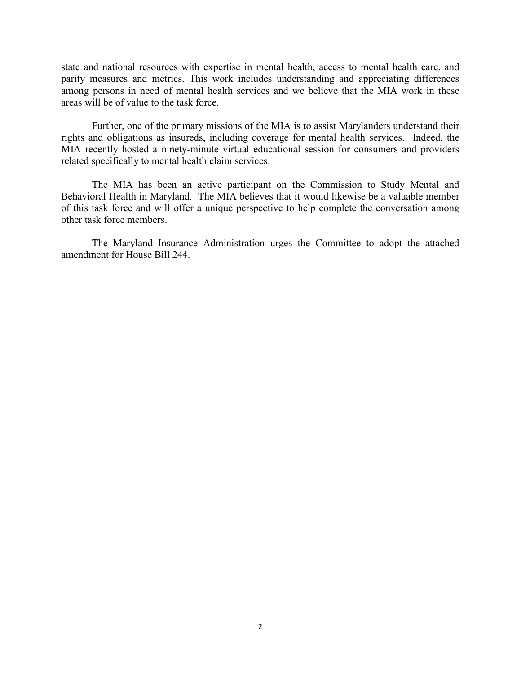state and national resources with expertise in mental health, access to mental health care, and parity measures and metrics. This work includes understanding and appreciating differences among persons in need of mental health services and we believe that the MIA work in these areas will be of value to the task force.

Further, one of the primary missions of the MIA is to assist Marylanders understand their rights and obligations as insureds, including coverage for mental health services. Indeed, the MIA recently hosted a ninety-minute virtual educational session for consumers and providers related specifically to mental health claim services.

The MIA has been an active participant on the Commission to Study Mental and Behavioral Health in Maryland. The MIA believes that it would likewise be a valuable member of this task force and will offer a unique perspective to help complete the conversation among other task force members.

The Maryland Insurance Administration urges the Committee to adopt the attached amendment for House Bill 244.